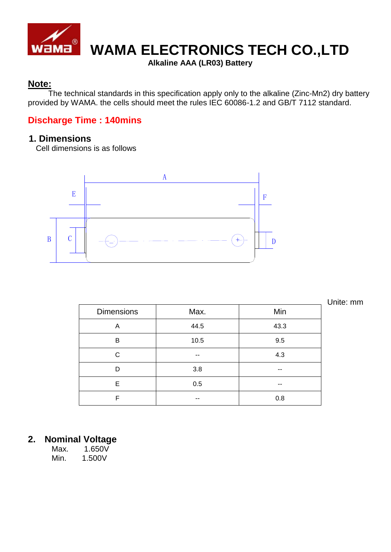

### **WAMA ELECTRONICS TECH CO.,LTD**

**Alkaline AAA (LR03) Battery**

### **Note:**

The technical standards in this specification apply only to the alkaline (Zinc-Mn2) dry battery provided by WAMA. the cells should meet the rules IEC 60086-1.2 and GB/T 7112 standard.

### **Discharge Time : 140mins**

#### **1. Dimensions**

Cell dimensions is as follows



|                   |      |       | Unite: mm |
|-------------------|------|-------|-----------|
| <b>Dimensions</b> | Max. | Min   |           |
| A                 | 44.5 | 43.3  |           |
| B                 | 10.5 | 9.5   |           |
| С                 | --   | 4.3   |           |
| D                 | 3.8  | $- -$ |           |
| Е                 | 0.5  | --    |           |
| F                 | --   | 0.8   |           |

# **2. Nominal Voltage**

Max. 1.650V<br>Min. 1.500V Min. 1.500V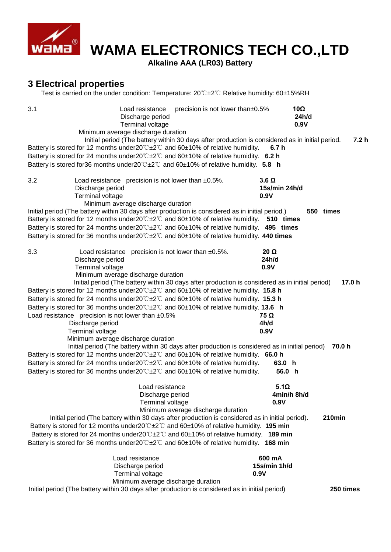

# **WAMA ELECTRONICS TECH CO.,LTD**

**Alkaline AAA (LR03) Battery**

### **3 Electrical properties**

Test is carried on the under condition: Temperature: 20℃±2℃ Relative humidity: 60±15%RH

| 3.1                            | Load resistance<br>Discharge period<br><b>Terminal voltage</b>                                                      | precision is not lower than±0.5%                                                                                                                                                                                                                                                                                                                                                                                                                                    | 10Ω<br>24h/d<br>0.9V                 |           |
|--------------------------------|---------------------------------------------------------------------------------------------------------------------|---------------------------------------------------------------------------------------------------------------------------------------------------------------------------------------------------------------------------------------------------------------------------------------------------------------------------------------------------------------------------------------------------------------------------------------------------------------------|--------------------------------------|-----------|
|                                | Minimum average discharge duration                                                                                  | Initial period (The battery within 30 days after production is considered as in initial period.<br>Battery is stored for 12 months under20°C±2°C and 60±10% of relative humidity.<br>Battery is stored for 24 months under $20^{\circ}$ ± $2^{\circ}$ and $60\pm10\%$ of relative humidity. 6.2 h<br>Battery is stored for 36 months under $20^{\circ}$ = $2^{\circ}$ and $60\pm10\%$ of relative humidity. 5.8 h                                                   | 6.7 h                                | 7.2h      |
| 3.2<br><b>Terminal voltage</b> | Load resistance precision is not lower than $\pm 0.5\%$ .<br>Discharge period                                       |                                                                                                                                                                                                                                                                                                                                                                                                                                                                     | $3.6\Omega$<br>15s/min 24h/d<br>0.9V |           |
|                                | Minimum average discharge duration                                                                                  | Initial period (The battery within 30 days after production is considered as in initial period.)<br>Battery is stored for 12 months under $20^{\circ}C \pm 2^{\circ}C$ and $60 \pm 10\%$ of relative humidity. 510 times<br>Battery is stored for 24 months under $20^{\circ}$ $\pm 2^{\circ}$ and 60 $\pm$ 10% of relative humidity. 495 times<br>Battery is stored for 36 months under $20^{\circ}$ ± $2^{\circ}$ and $60\pm10\%$ of relative humidity. 440 times |                                      | 550 times |
| 3.3<br>Terminal voltage        | Load resistance precision is not lower than $\pm 0.5\%$ .<br>Discharge period<br>Minimum average discharge duration |                                                                                                                                                                                                                                                                                                                                                                                                                                                                     | 20 Ω<br>24h/d<br>0.9V                |           |
| Discharge period               | Load resistance precision is not lower than $\pm 0.5\%$                                                             | Initial period (The battery within 30 days after production is considered as in initial period)<br>Battery is stored for 12 months under $20^{\circ}$ ±2 $^{\circ}$ and 60±10% of relative humidity. 15.8 h<br>Battery is stored for 24 months under $20^{\circ}$ $\pm 2^{\circ}$ and 60 $\pm$ 10% of relative humidity. 15.3 h<br>Battery is stored for 36 months under $20^{\circ}$ ±2 $^{\circ}$ and 60±10% of relative humidity. 13.6 h                         | 75 Ω<br>4h/d                         | 17.0 h    |
| Terminal voltage               | Minimum average discharge duration                                                                                  | Initial period (The battery within 30 days after production is considered as in initial period)<br>Battery is stored for 12 months under $20^{\circ}$ ± $2^{\circ}$ and $60\pm10\%$ of relative humidity. 66.0 h                                                                                                                                                                                                                                                    | 0.9V                                 | 70.0 h    |
|                                |                                                                                                                     | Battery is stored for 24 months under $20^{\circ}$ $\pm 2^{\circ}$ and $60\pm 10\%$ of relative humidity.<br>Battery is stored for 36 months under $20^{\circ}$ ± $2^{\circ}$ and $60\pm10\%$ of relative humidity.                                                                                                                                                                                                                                                 | 63.0 h<br>56.0 h                     |           |
|                                | Load resistance<br>Discharge period<br>Terminal voltage                                                             | Minimum average discharge duration                                                                                                                                                                                                                                                                                                                                                                                                                                  | $5.1\Omega$<br>4min/h 8h/d<br>0.9V   |           |
|                                |                                                                                                                     | Initial period (The battery within 30 days after production is considered as in initial period).<br>Battery is stored for 12 months under $20^{\circ}$ $\pm 2^{\circ}$ and $60\pm 10\%$ of relative humidity. 195 min<br>Battery is stored for 24 months under $20^{\circ}$ ±2°C and 60±10% of relative humidity. 189 min<br>Battery is stored for 36 months under $20^{\circ}$ ±2 $\circ$ and 60±10% of relative humidity. 168 min                                 |                                      | 210min    |
|                                | Load resistance<br>Discharge period<br>Terminal voltage                                                             |                                                                                                                                                                                                                                                                                                                                                                                                                                                                     | 600 mA<br>15s/min 1h/d<br>0.9V       |           |
|                                | Minimum average discharge duration                                                                                  | Initial period (The battery within 30 days after production is considered as in initial period)                                                                                                                                                                                                                                                                                                                                                                     |                                      | 250 times |